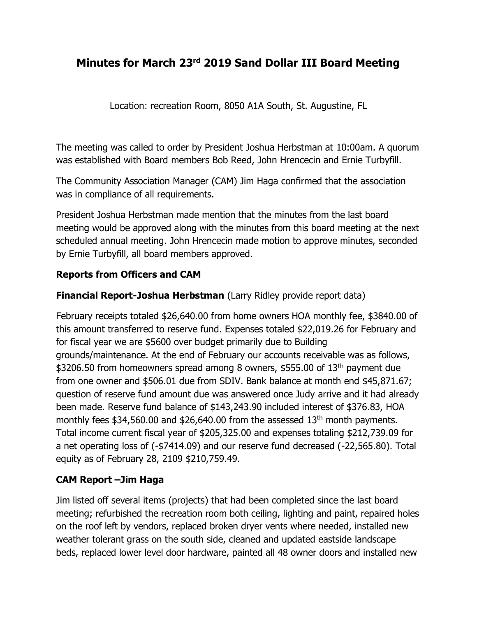# **Minutes for March 23rd 2019 Sand Dollar III Board Meeting**

Location: recreation Room, 8050 A1A South, St. Augustine, FL

The meeting was called to order by President Joshua Herbstman at 10:00am. A quorum was established with Board members Bob Reed, John Hrencecin and Ernie Turbyfill.

The Community Association Manager (CAM) Jim Haga confirmed that the association was in compliance of all requirements.

President Joshua Herbstman made mention that the minutes from the last board meeting would be approved along with the minutes from this board meeting at the next scheduled annual meeting. John Hrencecin made motion to approve minutes, seconded by Ernie Turbyfill, all board members approved.

# **Reports from Officers and CAM**

# **Financial Report-Joshua Herbstman** (Larry Ridley provide report data)

February receipts totaled \$26,640.00 from home owners HOA monthly fee, \$3840.00 of this amount transferred to reserve fund. Expenses totaled \$22,019.26 for February and for fiscal year we are \$5600 over budget primarily due to Building grounds/maintenance. At the end of February our accounts receivable was as follows, \$3206.50 from homeowners spread among 8 owners, \$555.00 of 13th payment due from one owner and \$506.01 due from SDIV. Bank balance at month end \$45,871.67; question of reserve fund amount due was answered once Judy arrive and it had already been made. Reserve fund balance of \$143,243.90 included interest of \$376.83, HOA monthly fees  $$34,560.00$  and  $$26,640.00$  from the assessed  $13<sup>th</sup>$  month payments. Total income current fiscal year of \$205,325.00 and expenses totaling \$212,739.09 for a net operating loss of (-\$7414.09) and our reserve fund decreased (-22,565.80). Total equity as of February 28, 2109 \$210,759.49.

# **CAM Report –Jim Haga**

Jim listed off several items (projects) that had been completed since the last board meeting; refurbished the recreation room both ceiling, lighting and paint, repaired holes on the roof left by vendors, replaced broken dryer vents where needed, installed new weather tolerant grass on the south side, cleaned and updated eastside landscape beds, replaced lower level door hardware, painted all 48 owner doors and installed new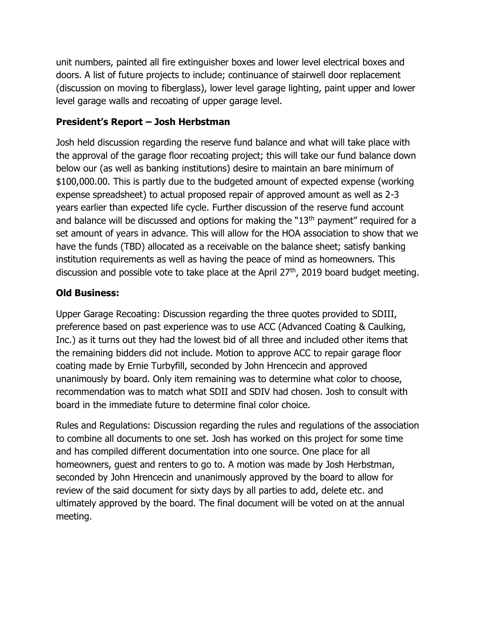unit numbers, painted all fire extinguisher boxes and lower level electrical boxes and doors. A list of future projects to include; continuance of stairwell door replacement (discussion on moving to fiberglass), lower level garage lighting, paint upper and lower level garage walls and recoating of upper garage level.

#### **President's Report – Josh Herbstman**

Josh held discussion regarding the reserve fund balance and what will take place with the approval of the garage floor recoating project; this will take our fund balance down below our (as well as banking institutions) desire to maintain an bare minimum of \$100,000.00. This is partly due to the budgeted amount of expected expense (working expense spreadsheet) to actual proposed repair of approved amount as well as 2-3 years earlier than expected life cycle. Further discussion of the reserve fund account and balance will be discussed and options for making the "13<sup>th</sup> payment" required for a set amount of years in advance. This will allow for the HOA association to show that we have the funds (TBD) allocated as a receivable on the balance sheet; satisfy banking institution requirements as well as having the peace of mind as homeowners. This discussion and possible vote to take place at the April 27<sup>th</sup>, 2019 board budget meeting.

### **Old Business:**

Upper Garage Recoating: Discussion regarding the three quotes provided to SDIII, preference based on past experience was to use ACC (Advanced Coating & Caulking, Inc.) as it turns out they had the lowest bid of all three and included other items that the remaining bidders did not include. Motion to approve ACC to repair garage floor coating made by Ernie Turbyfill, seconded by John Hrencecin and approved unanimously by board. Only item remaining was to determine what color to choose, recommendation was to match what SDII and SDIV had chosen. Josh to consult with board in the immediate future to determine final color choice.

Rules and Regulations: Discussion regarding the rules and regulations of the association to combine all documents to one set. Josh has worked on this project for some time and has compiled different documentation into one source. One place for all homeowners, guest and renters to go to. A motion was made by Josh Herbstman, seconded by John Hrencecin and unanimously approved by the board to allow for review of the said document for sixty days by all parties to add, delete etc. and ultimately approved by the board. The final document will be voted on at the annual meeting.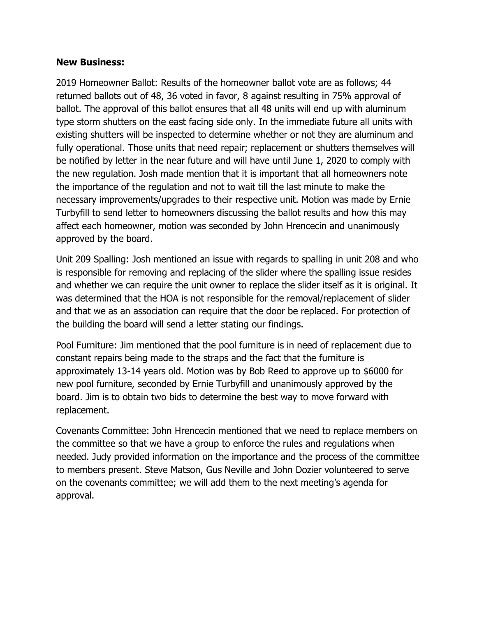#### **New Business:**

2019 Homeowner Ballot: Results of the homeowner ballot vote are as follows; 44 returned ballots out of 48, 36 voted in favor, 8 against resulting in 75% approval of ballot. The approval of this ballot ensures that all 48 units will end up with aluminum type storm shutters on the east facing side only. In the immediate future all units with existing shutters will be inspected to determine whether or not they are aluminum and fully operational. Those units that need repair; replacement or shutters themselves will be notified by letter in the near future and will have until June 1, 2020 to comply with the new regulation. Josh made mention that it is important that all homeowners note the importance of the regulation and not to wait till the last minute to make the necessary improvements/upgrades to their respective unit. Motion was made by Ernie Turbyfill to send letter to homeowners discussing the ballot results and how this may affect each homeowner, motion was seconded by John Hrencecin and unanimously approved by the board.

Unit 209 Spalling: Josh mentioned an issue with regards to spalling in unit 208 and who is responsible for removing and replacing of the slider where the spalling issue resides and whether we can require the unit owner to replace the slider itself as it is original. It was determined that the HOA is not responsible for the removal/replacement of slider and that we as an association can require that the door be replaced. For protection of the building the board will send a letter stating our findings.

Pool Furniture: Jim mentioned that the pool furniture is in need of replacement due to constant repairs being made to the straps and the fact that the furniture is approximately 13-14 years old. Motion was by Bob Reed to approve up to \$6000 for new pool furniture, seconded by Ernie Turbyfill and unanimously approved by the board. Jim is to obtain two bids to determine the best way to move forward with replacement.

Covenants Committee: John Hrencecin mentioned that we need to replace members on the committee so that we have a group to enforce the rules and regulations when needed. Judy provided information on the importance and the process of the committee to members present. Steve Matson, Gus Neville and John Dozier volunteered to serve on the covenants committee; we will add them to the next meeting's agenda for approval.